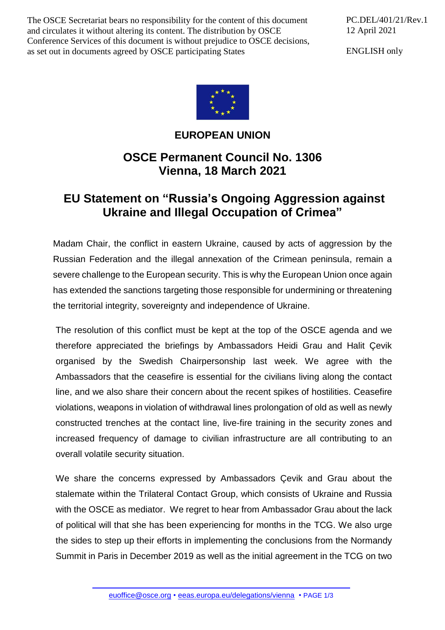The OSCE Secretariat bears no responsibility for the content of this document and circulates it without altering its content. The distribution by OSCE Conference Services of this document is without prejudice to OSCE decisions, as set out in documents agreed by OSCE participating States

PC.DEL/401/21/Rev.1 12 April 2021

ENGLISH only



## **EUROPEAN UNION**

## **OSCE Permanent Council No. 1306 Vienna, 18 March 2021**

## **EU Statement on "Russia's Ongoing Aggression against Ukraine and Illegal Occupation of Crimea"**

Madam Chair, the conflict in eastern Ukraine, caused by acts of aggression by the Russian Federation and the illegal annexation of the Crimean peninsula, remain a severe challenge to the European security. This is why the European Union once again has extended the sanctions targeting those responsible for undermining or threatening the territorial integrity, sovereignty and independence of Ukraine.

The resolution of this conflict must be kept at the top of the OSCE agenda and we therefore appreciated the briefings by Ambassadors Heidi Grau and Halit Çevik organised by the Swedish Chairpersonship last week. We agree with the Ambassadors that the ceasefire is essential for the civilians living along the contact line, and we also share their concern about the recent spikes of hostilities. Ceasefire violations, weapons in violation of withdrawal lines prolongation of old as well as newly constructed trenches at the contact line, live-fire training in the security zones and increased frequency of damage to civilian infrastructure are all contributing to an overall volatile security situation.

We share the concerns expressed by Ambassadors Çevik and Grau about the stalemate within the Trilateral Contact Group, which consists of Ukraine and Russia with the OSCE as mediator. We regret to hear from Ambassador Grau about the lack of political will that she has been experiencing for months in the TCG. We also urge the sides to step up their efforts in implementing the conclusions from the Normandy Summit in Paris in December 2019 as well as the initial agreement in the TCG on two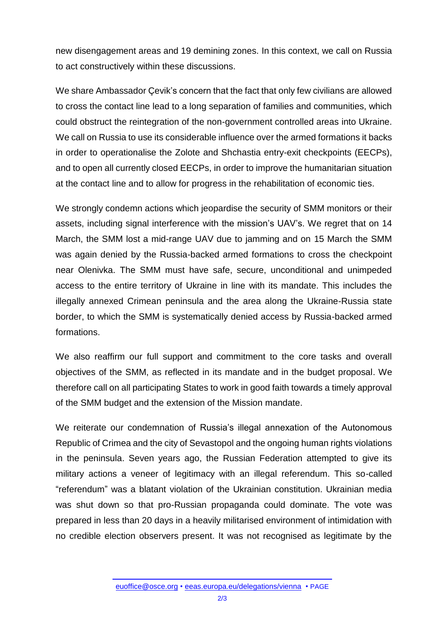new disengagement areas and 19 demining zones. In this context, we call on Russia to act constructively within these discussions.

We share Ambassador Çevik's concern that the fact that only few civilians are allowed to cross the contact line lead to a long separation of families and communities, which could obstruct the reintegration of the non-government controlled areas into Ukraine. We call on Russia to use its considerable influence over the armed formations it backs in order to operationalise the Zolote and Shchastia entry-exit checkpoints (EECPs), and to open all currently closed EECPs, in order to improve the humanitarian situation at the contact line and to allow for progress in the rehabilitation of economic ties.

We strongly condemn actions which jeopardise the security of SMM monitors or their assets, including signal interference with the mission's UAV's. We regret that on 14 March, the SMM lost a mid-range UAV due to jamming and on 15 March the SMM was again denied by the Russia-backed armed formations to cross the checkpoint near Olenivka. The SMM must have safe, secure, unconditional and unimpeded access to the entire territory of Ukraine in line with its mandate. This includes the illegally annexed Crimean peninsula and the area along the Ukraine-Russia state border, to which the SMM is systematically denied access by Russia-backed armed formations.

We also reaffirm our full support and commitment to the core tasks and overall objectives of the SMM, as reflected in its mandate and in the budget proposal. We therefore call on all participating States to work in good faith towards a timely approval of the SMM budget and the extension of the Mission mandate.

We reiterate our condemnation of Russia's illegal annexation of the Autonomous Republic of Crimea and the city of Sevastopol and the ongoing human rights violations in the peninsula. Seven years ago, the Russian Federation attempted to give its military actions a veneer of legitimacy with an illegal referendum. This so-called "referendum" was a blatant violation of the Ukrainian constitution. Ukrainian media was shut down so that pro-Russian propaganda could dominate. The vote was prepared in less than 20 days in a heavily militarised environment of intimidation with no credible election observers present. It was not recognised as legitimate by the